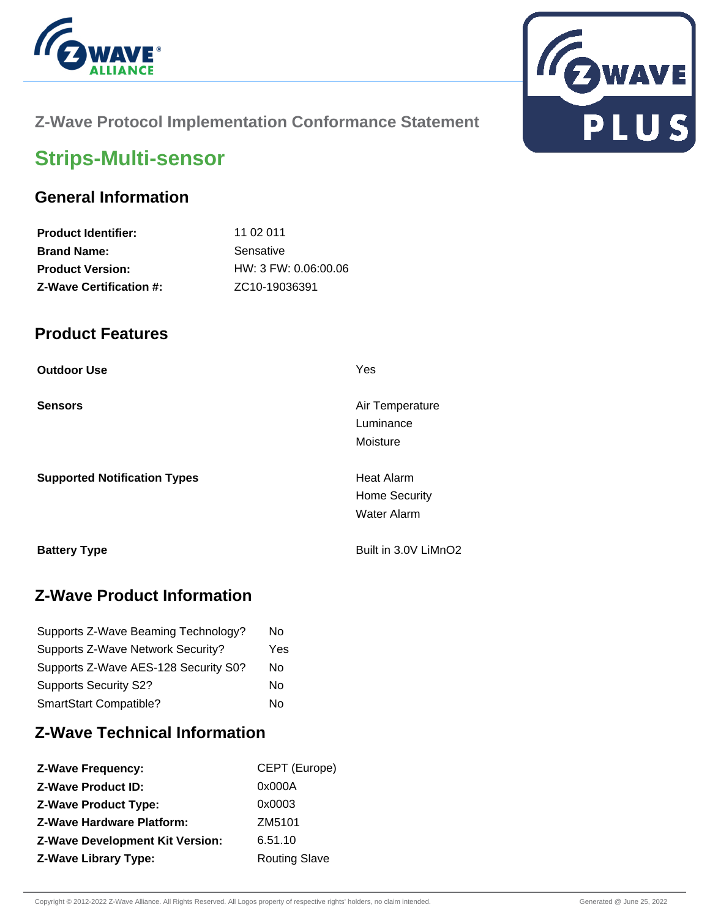



## **Z-Wave Protocol Implementation Conformance Statement**

# **Strips-Multi-sensor**

## **General Information**

| <b>Product Identifier:</b>     | 11 02 011              |
|--------------------------------|------------------------|
| <b>Brand Name:</b>             | Sensative              |
| <b>Product Version:</b>        | $HW: 3$ FW: 0.06:00.06 |
| <b>Z-Wave Certification #:</b> | ZC10-19036391          |

#### **Product Features**

| <b>Outdoor Use</b>                  | Yes                                                             |
|-------------------------------------|-----------------------------------------------------------------|
| <b>Sensors</b>                      | Air Temperature<br>Luminance<br>Moisture                        |
| <b>Supported Notification Types</b> | <b>Heat Alarm</b><br><b>Home Security</b><br><b>Water Alarm</b> |
| <b>Battery Type</b>                 | Built in 3.0V LiMnO2                                            |

## **Z-Wave Product Information**

| Supports Z-Wave Beaming Technology?  | No  |
|--------------------------------------|-----|
| Supports Z-Wave Network Security?    | Yes |
| Supports Z-Wave AES-128 Security S0? | No  |
| <b>Supports Security S2?</b>         | No  |
| SmartStart Compatible?               | No  |

# **Z-Wave Technical Information**

| <b>Z-Wave Frequency:</b>               | CEPT (Europe)        |
|----------------------------------------|----------------------|
| <b>Z-Wave Product ID:</b>              | 0x000A               |
| <b>Z-Wave Product Type:</b>            | 0x0003               |
| <b>Z-Wave Hardware Platform:</b>       | ZM5101               |
| <b>Z-Wave Development Kit Version:</b> | 6.51.10              |
| <b>Z-Wave Library Type:</b>            | <b>Routing Slave</b> |